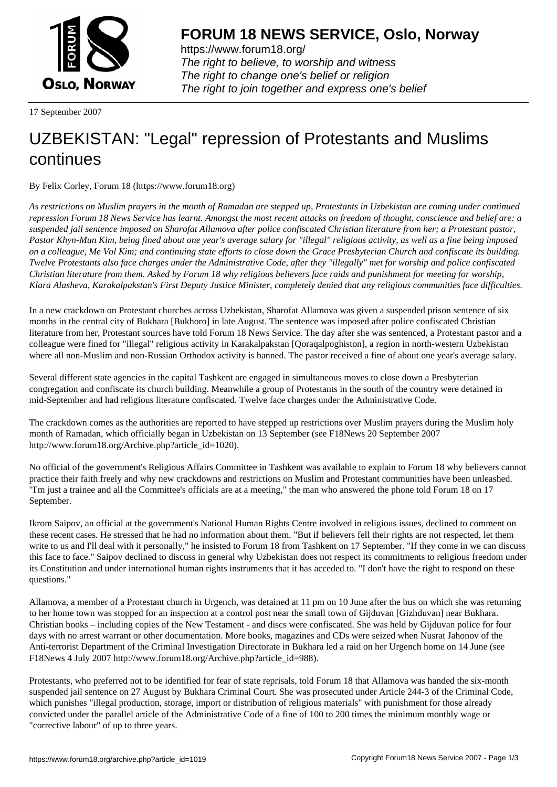

https://www.forum18.org/ The right to believe, to worship and witness The right to change one's belief or religion [The right to join together a](https://www.forum18.org/)nd express one's belief

17 September 2007

## [UZBEKISTAN:](https://www.forum18.org) "Legal" repression of Protestants and Muslims continues

By Felix Corley, Forum 18 (https://www.forum18.org)

*As restrictions on Muslim prayers in the month of Ramadan are stepped up, Protestants in Uzbekistan are coming under continued repression Forum 18 News Service has learnt. Amongst the most recent attacks on freedom of thought, conscience and belief are: a suspended jail sentence imposed on Sharofat Allamova after police confiscated Christian literature from her; a Protestant pastor, Pastor Khyn-Mun Kim, being fined about one year's average salary for "illegal" religious activity, as well as a fine being imposed on a colleague, Me Vol Kim; and continuing state efforts to close down the Grace Presbyterian Church and confiscate its building. Twelve Protestants also face charges under the Administrative Code, after they "illegally" met for worship and police confiscated Christian literature from them. Asked by Forum 18 why religious believers face raids and punishment for meeting for worship, Klara Alasheva, Karakalpakstan's First Deputy Justice Minister, completely denied that any religious communities face difficulties.*

In a new crackdown on Protestant churches across Uzbekistan, Sharofat Allamova was given a suspended prison sentence of six months in the central city of Bukhara [Bukhoro] in late August. The sentence was imposed after police confiscated Christian literature from her, Protestant sources have told Forum 18 News Service. The day after she was sentenced, a Protestant pastor and a colleague were fined for "illegal" religious activity in Karakalpakstan [Qoraqalpoghiston], a region in north-western Uzbekistan where all non-Muslim and non-Russian Orthodox activity is banned. The pastor received a fine of about one year's average salary.

Several different state agencies in the capital Tashkent are engaged in simultaneous moves to close down a Presbyterian congregation and confiscate its church building. Meanwhile a group of Protestants in the south of the country were detained in mid-September and had religious literature confiscated. Twelve face charges under the Administrative Code.

The crackdown comes as the authorities are reported to have stepped up restrictions over Muslim prayers during the Muslim holy month of Ramadan, which officially began in Uzbekistan on 13 September (see F18News 20 September 2007 http://www.forum18.org/Archive.php?article\_id=1020).

No official of the government's Religious Affairs Committee in Tashkent was available to explain to Forum 18 why believers cannot practice their faith freely and why new crackdowns and restrictions on Muslim and Protestant communities have been unleashed. "I'm just a trainee and all the Committee's officials are at a meeting," the man who answered the phone told Forum 18 on 17 September.

Ikrom Saipov, an official at the government's National Human Rights Centre involved in religious issues, declined to comment on these recent cases. He stressed that he had no information about them. "But if believers fell their rights are not respected, let them write to us and I'll deal with it personally," he insisted to Forum 18 from Tashkent on 17 September. "If they come in we can discuss this face to face." Saipov declined to discuss in general why Uzbekistan does not respect its commitments to religious freedom under its Constitution and under international human rights instruments that it has acceded to. "I don't have the right to respond on these questions."

Allamova, a member of a Protestant church in Urgench, was detained at 11 pm on 10 June after the bus on which she was returning to her home town was stopped for an inspection at a control post near the small town of Gijduvan [Gizhduvan] near Bukhara. Christian books – including copies of the New Testament - and discs were confiscated. She was held by Gijduvan police for four days with no arrest warrant or other documentation. More books, magazines and CDs were seized when Nusrat Jahonov of the Anti-terrorist Department of the Criminal Investigation Directorate in Bukhara led a raid on her Urgench home on 14 June (see F18News 4 July 2007 http://www.forum18.org/Archive.php?article\_id=988).

Protestants, who preferred not to be identified for fear of state reprisals, told Forum 18 that Allamova was handed the six-month suspended jail sentence on 27 August by Bukhara Criminal Court. She was prosecuted under Article 244-3 of the Criminal Code, which punishes "illegal production, storage, import or distribution of religious materials" with punishment for those already convicted under the parallel article of the Administrative Code of a fine of 100 to 200 times the minimum monthly wage or "corrective labour" of up to three years.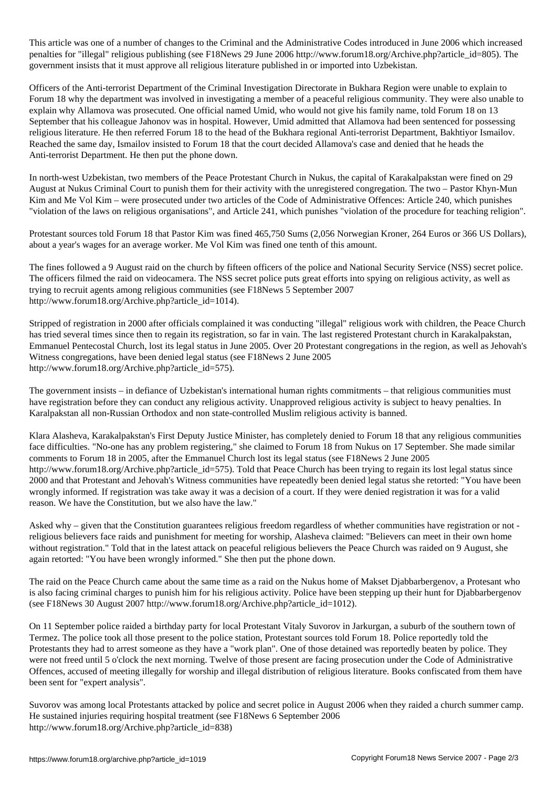This article was one of a number of changes to the Administrative Codes introduced in  $\mathcal{Q}$ penalties for "illegal" religious publishing (see F18News 29 June 2006 http://www.forum18.org/Archive.php?article\_id=805). The government insists that it must approve all religious literature published in or imported into Uzbekistan.

Officers of the Anti-terrorist Department of the Criminal Investigation Directorate in Bukhara Region were unable to explain to Forum 18 why the department was involved in investigating a member of a peaceful religious community. They were also unable to explain why Allamova was prosecuted. One official named Umid, who would not give his family name, told Forum 18 on 13 September that his colleague Jahonov was in hospital. However, Umid admitted that Allamova had been sentenced for possessing religious literature. He then referred Forum 18 to the head of the Bukhara regional Anti-terrorist Department, Bakhtiyor Ismailov. Reached the same day, Ismailov insisted to Forum 18 that the court decided Allamova's case and denied that he heads the Anti-terrorist Department. He then put the phone down.

In north-west Uzbekistan, two members of the Peace Protestant Church in Nukus, the capital of Karakalpakstan were fined on 29 August at Nukus Criminal Court to punish them for their activity with the unregistered congregation. The two – Pastor Khyn-Mun Kim and Me Vol Kim – were prosecuted under two articles of the Code of Administrative Offences: Article 240, which punishes "violation of the laws on religious organisations", and Article 241, which punishes "violation of the procedure for teaching religion".

Protestant sources told Forum 18 that Pastor Kim was fined 465,750 Sums (2,056 Norwegian Kroner, 264 Euros or 366 US Dollars), about a year's wages for an average worker. Me Vol Kim was fined one tenth of this amount.

The fines followed a 9 August raid on the church by fifteen officers of the police and National Security Service (NSS) secret police. The officers filmed the raid on videocamera. The NSS secret police puts great efforts into spying on religious activity, as well as trying to recruit agents among religious communities (see F18News 5 September 2007 http://www.forum18.org/Archive.php?article\_id=1014).

Stripped of registration in 2000 after officials complained it was conducting "illegal" religious work with children, the Peace Church has tried several times since then to regain its registration, so far in vain. The last registered Protestant church in Karakalpakstan, Emmanuel Pentecostal Church, lost its legal status in June 2005. Over 20 Protestant congregations in the region, as well as Jehovah's Witness congregations, have been denied legal status (see F18News 2 June 2005 http://www.forum18.org/Archive.php?article\_id=575).

The government insists – in defiance of Uzbekistan's international human rights commitments – that religious communities must have registration before they can conduct any religious activity. Unapproved religious activity is subject to heavy penalties. In Karalpakstan all non-Russian Orthodox and non state-controlled Muslim religious activity is banned.

Klara Alasheva, Karakalpakstan's First Deputy Justice Minister, has completely denied to Forum 18 that any religious communities face difficulties. "No-one has any problem registering," she claimed to Forum 18 from Nukus on 17 September. She made similar comments to Forum 18 in 2005, after the Emmanuel Church lost its legal status (see F18News 2 June 2005 http://www.forum18.org/Archive.php?article id=575). Told that Peace Church has been trying to regain its lost legal status since 2000 and that Protestant and Jehovah's Witness communities have repeatedly been denied legal status she retorted: "You have been wrongly informed. If registration was take away it was a decision of a court. If they were denied registration it was for a valid reason. We have the Constitution, but we also have the law."

Asked why – given that the Constitution guarantees religious freedom regardless of whether communities have registration or not religious believers face raids and punishment for meeting for worship, Alasheva claimed: "Believers can meet in their own home without registration." Told that in the latest attack on peaceful religious believers the Peace Church was raided on 9 August, she again retorted: "You have been wrongly informed." She then put the phone down.

The raid on the Peace Church came about the same time as a raid on the Nukus home of Makset Djabbarbergenov, a Protesant who is also facing criminal charges to punish him for his religious activity. Police have been stepping up their hunt for Djabbarbergenov (see F18News 30 August 2007 http://www.forum18.org/Archive.php?article\_id=1012).

On 11 September police raided a birthday party for local Protestant Vitaly Suvorov in Jarkurgan, a suburb of the southern town of Termez. The police took all those present to the police station, Protestant sources told Forum 18. Police reportedly told the Protestants they had to arrest someone as they have a "work plan". One of those detained was reportedly beaten by police. They were not freed until 5 o'clock the next morning. Twelve of those present are facing prosecution under the Code of Administrative Offences, accused of meeting illegally for worship and illegal distribution of religious literature. Books confiscated from them have been sent for "expert analysis".

Suvorov was among local Protestants attacked by police and secret police in August 2006 when they raided a church summer camp. He sustained injuries requiring hospital treatment (see F18News 6 September 2006 http://www.forum18.org/Archive.php?article\_id=838)